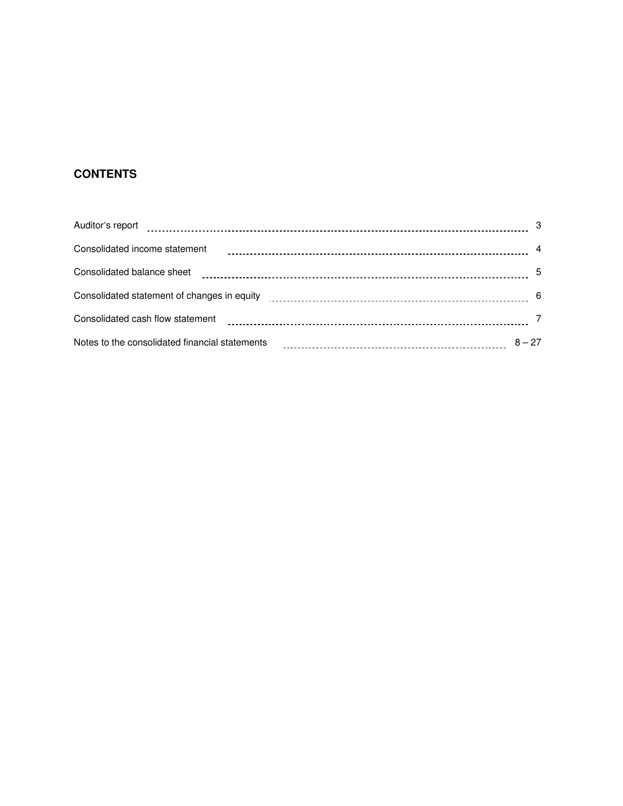# **CONTENTS**

| Auditor's report                               | - 3            |
|------------------------------------------------|----------------|
| Consolidated income statement                  | $\overline{a}$ |
| Consolidated balance sheet                     |                |
|                                                |                |
| Consolidated cash flow statement               |                |
| Notes to the consolidated financial statements | $8 - 27$       |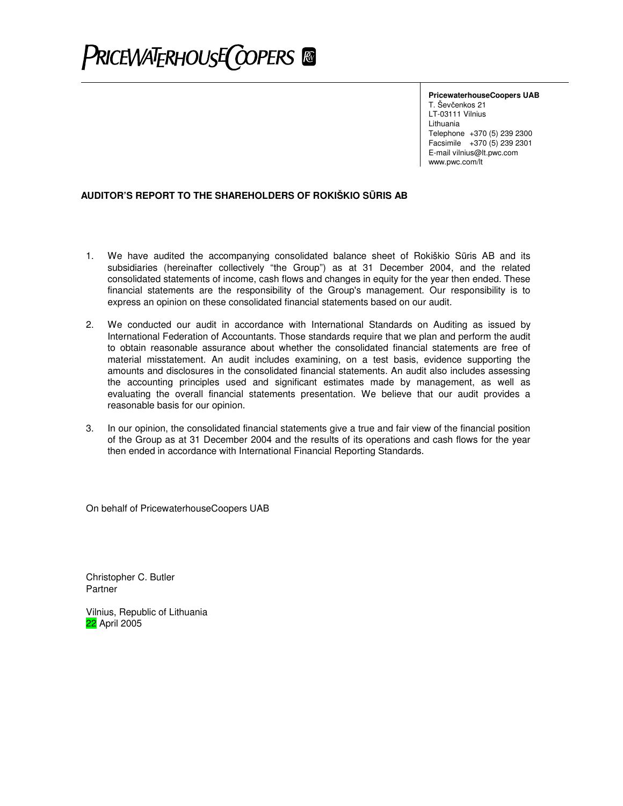# PRICEWATERHOUSE COPERS ®

**PricewaterhouseCoopers UAB**

T. Ševčenkos 21 LT-03111 Vilnius Lithuania Telephone +370 (5) 239 2300 Facsimile +370 (5) 239 2301 E-mail vilnius@lt.pwc.com www.pwc.com/lt

# **AUDITOR'S REPORT TO THE SHAREHOLDERS OF ROKIŠKIO SRIS AB**

- 1. We have audited the accompanying consolidated balance sheet of Rokiškio Sūris AB and its subsidiaries (hereinafter collectively "the Group") as at 31 December 2004, and the related consolidated statements of income, cash flows and changes in equity for the year then ended. These financial statements are the responsibility of the Group's management. Our responsibility is to express an opinion on these consolidated financial statements based on our audit.
- 2. We conducted our audit in accordance with International Standards on Auditing as issued by International Federation of Accountants. Those standards require that we plan and perform the audit to obtain reasonable assurance about whether the consolidated financial statements are free of material misstatement. An audit includes examining, on a test basis, evidence supporting the amounts and disclosures in the consolidated financial statements. An audit also includes assessing the accounting principles used and significant estimates made by management, as well as evaluating the overall financial statements presentation. We believe that our audit provides a reasonable basis for our opinion.
- 3. In our opinion, the consolidated financial statements give a true and fair view of the financial position of the Group as at 31 December 2004 and the results of its operations and cash flows for the year then ended in accordance with International Financial Reporting Standards.

On behalf of PricewaterhouseCoopers UAB

Christopher C. Butler Partner

Vilnius, Republic of Lithuania 22 April 2005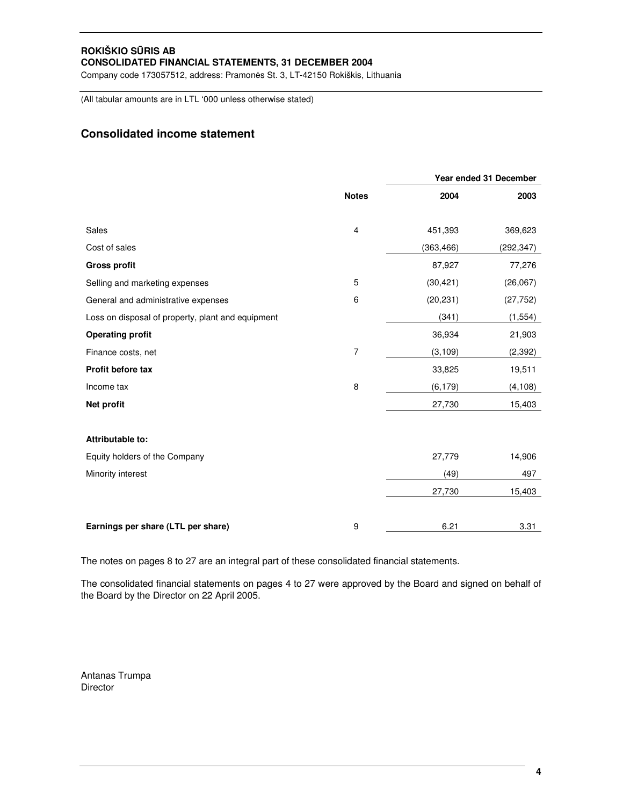Company code 173057512, address: Pramonės St. 3, LT-42150 Rokiškis, Lithuania

(All tabular amounts are in LTL '000 unless otherwise stated)

# **Consolidated income statement**

|                                                   |                |            | Year ended 31 December |
|---------------------------------------------------|----------------|------------|------------------------|
|                                                   | <b>Notes</b>   | 2004       | 2003                   |
| Sales                                             | 4              | 451,393    | 369,623                |
| Cost of sales                                     |                | (363, 466) | (292, 347)             |
| <b>Gross profit</b>                               |                | 87,927     | 77,276                 |
| Selling and marketing expenses                    | 5              | (30, 421)  | (26,067)               |
| General and administrative expenses               | 6              | (20, 231)  | (27, 752)              |
| Loss on disposal of property, plant and equipment |                | (341)      | (1, 554)               |
| <b>Operating profit</b>                           |                | 36,934     | 21,903                 |
| Finance costs, net                                | $\overline{7}$ | (3, 109)   | (2, 392)               |
| Profit before tax                                 |                | 33,825     | 19,511                 |
| Income tax                                        | 8              | (6, 179)   | (4, 108)               |
| Net profit                                        |                | 27,730     | 15,403                 |
| Attributable to:                                  |                |            |                        |
| Equity holders of the Company                     |                | 27,779     | 14,906                 |
| Minority interest                                 |                | (49)       | 497                    |
|                                                   |                | 27,730     | 15,403                 |
| Earnings per share (LTL per share)                | 9              | 6.21       | 3.31                   |

The notes on pages 8 to 27 are an integral part of these consolidated financial statements.

The consolidated financial statements on pages 4 to 27 were approved by the Board and signed on behalf of the Board by the Director on 22 April 2005.

Antanas Trumpa **Director**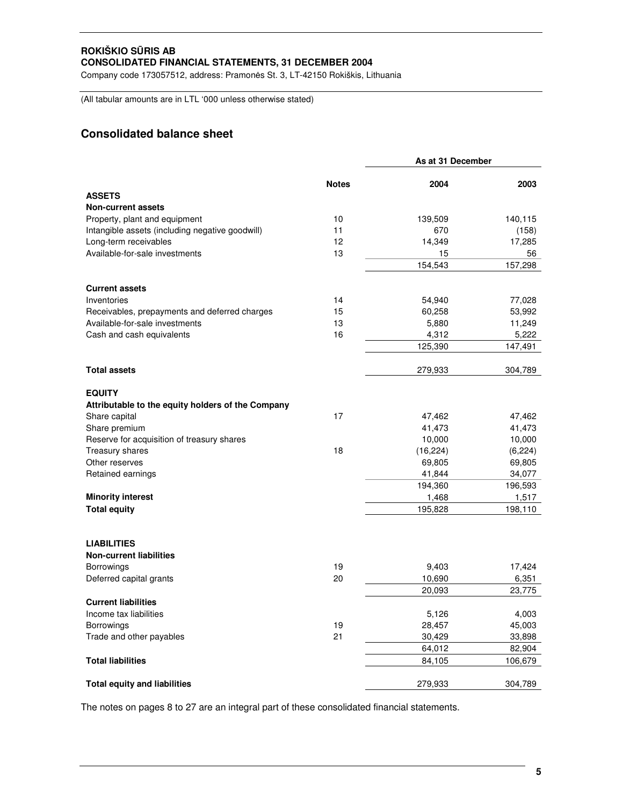Company code 173057512, address: Pramonės St. 3, LT-42150 Rokiškis, Lithuania

(All tabular amounts are in LTL '000 unless otherwise stated)

# **Consolidated balance sheet**

|                                                   |              | As at 31 December |         |
|---------------------------------------------------|--------------|-------------------|---------|
|                                                   | <b>Notes</b> | 2004              | 2003    |
| <b>ASSETS</b>                                     |              |                   |         |
| <b>Non-current assets</b>                         |              |                   |         |
| Property, plant and equipment                     | 10           | 139,509           | 140,115 |
| Intangible assets (including negative goodwill)   | 11           | 670               | (158)   |
| Long-term receivables                             | 12           | 14,349            | 17,285  |
| Available-for-sale investments                    | 13           | 15                | 56      |
|                                                   |              | 154,543           | 157,298 |
| <b>Current assets</b>                             |              |                   |         |
| Inventories                                       | 14           | 54,940            | 77,028  |
| Receivables, prepayments and deferred charges     | 15           | 60,258            | 53,992  |
| Available-for-sale investments                    | 13           | 5,880             | 11,249  |
| Cash and cash equivalents                         | 16           | 4,312             | 5,222   |
|                                                   |              | 125,390           | 147,491 |
|                                                   |              |                   |         |
| <b>Total assets</b>                               |              | 279,933           | 304,789 |
| <b>EQUITY</b>                                     |              |                   |         |
| Attributable to the equity holders of the Company |              |                   |         |
| Share capital                                     | 17           | 47,462            | 47,462  |
| Share premium                                     |              | 41,473            | 41,473  |
| Reserve for acquisition of treasury shares        |              | 10,000            | 10,000  |
| Treasury shares                                   | 18           | (16, 224)         | (6,224) |
| Other reserves                                    |              | 69,805            | 69,805  |
| Retained earnings                                 |              | 41,844            | 34,077  |
|                                                   |              | 194,360           | 196,593 |
| <b>Minority interest</b>                          |              | 1,468             | 1,517   |
| <b>Total equity</b>                               |              | 195,828           | 198,110 |
|                                                   |              |                   |         |
| <b>LIABILITIES</b>                                |              |                   |         |
| <b>Non-current liabilities</b>                    |              |                   |         |
| Borrowings                                        | 19           | 9,403             | 17,424  |
| Deferred capital grants                           | 20           | 10,690            | 6,351   |
|                                                   |              | 20,093            | 23,775  |
| <b>Current liabilities</b>                        |              |                   |         |
| Income tax liabilities                            |              | 5,126             | 4,003   |
| <b>Borrowings</b>                                 | 19           | 28,457            | 45,003  |
| Trade and other payables                          | 21           | 30,429            | 33,898  |
|                                                   |              | 64,012            | 82,904  |
| <b>Total liabilities</b>                          |              | 84,105            | 106,679 |
| <b>Total equity and liabilities</b>               |              | 279,933           | 304,789 |
|                                                   |              |                   |         |

The notes on pages 8 to 27 are an integral part of these consolidated financial statements.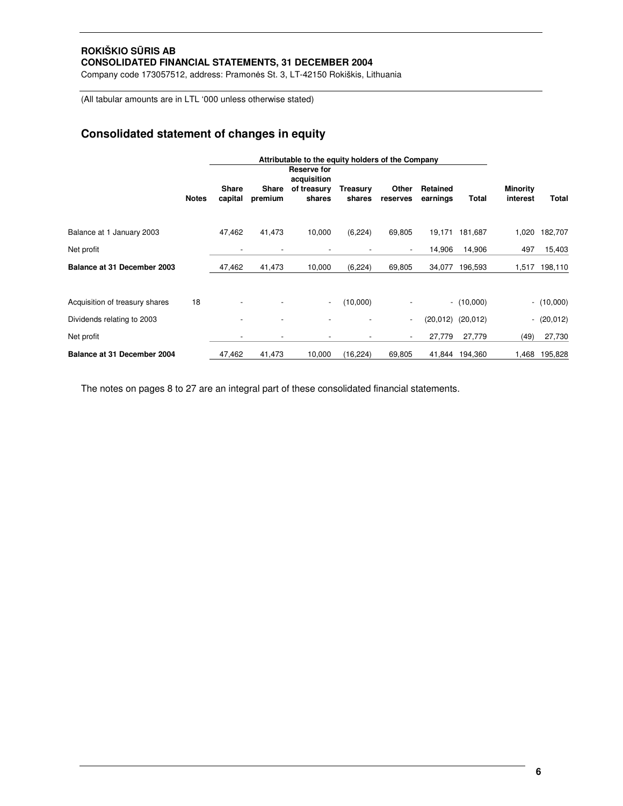Company code 173057512, address: Pramonės St. 3, LT-42150 Rokiškis, Lithuania

(All tabular amounts are in LTL '000 unless otherwise stated)

# **Consolidated statement of changes in equity**

|                                |              | Attributable to the equity holders of the Company |              |                                           |                 |                          |                 |                       |                             |              |
|--------------------------------|--------------|---------------------------------------------------|--------------|-------------------------------------------|-----------------|--------------------------|-----------------|-----------------------|-----------------------------|--------------|
|                                | <b>Notes</b> | <b>Share</b>                                      | <b>Share</b> | Reserve for<br>acquisition<br>of treasury | <b>Treasury</b> | Other                    | <b>Retained</b> |                       | <b>Minority</b><br>interest |              |
|                                |              | capital                                           | premium      | shares                                    | shares          | reserves                 | earnings        | Total                 |                             | Total        |
| Balance at 1 January 2003      |              | 47,462                                            | 41,473       | 10,000                                    | (6, 224)        | 69,805                   | 19,171          | 181,687               | 1,020                       | 182,707      |
| Net profit                     |              |                                                   |              |                                           |                 |                          | 14,906          | 14,906                | 497                         | 15,403       |
| Balance at 31 December 2003    |              | 47,462                                            | 41,473       | 10,000                                    | (6, 224)        | 69,805                   | 34,077          | 196,593               | 1,517                       | 198,110      |
| Acquisition of treasury shares | 18           |                                                   |              | $\overline{\phantom{a}}$                  | (10,000)        |                          |                 | $- (10,000)$          |                             | $- (10,000)$ |
| Dividends relating to 2003     |              |                                                   |              |                                           |                 | $\overline{\phantom{a}}$ |                 | $(20,012)$ $(20,012)$ | $\overline{\phantom{0}}$    | (20, 012)    |
| Net profit                     |              |                                                   |              |                                           |                 |                          | 27,779          | 27,779                | (49)                        | 27,730       |
| Balance at 31 December 2004    |              | 47,462                                            | 41,473       | 10,000                                    | (16, 224)       | 69,805                   | 41,844          | 194,360               | 1,468                       | 195,828      |

The notes on pages 8 to 27 are an integral part of these consolidated financial statements.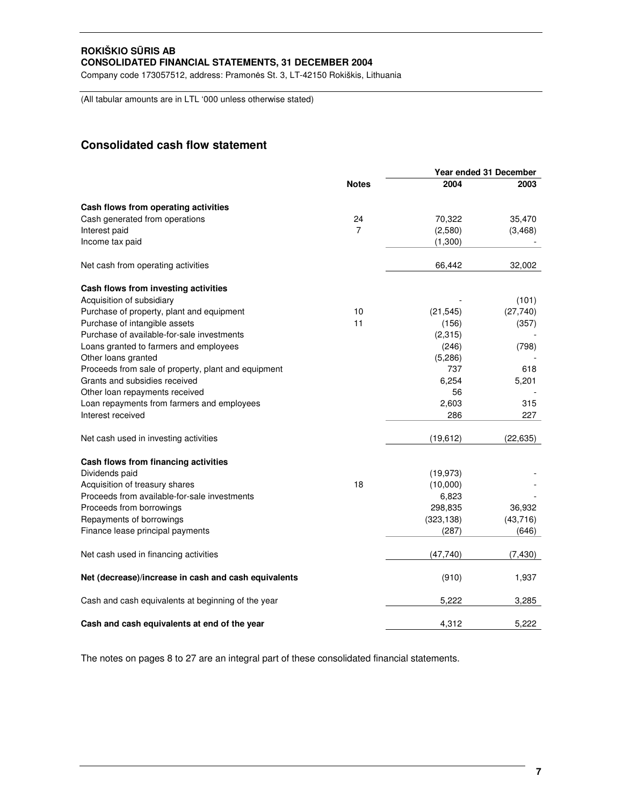Company code 173057512, address: Pramonės St. 3, LT-42150 Rokiškis, Lithuania

(All tabular amounts are in LTL '000 unless otherwise stated)

# **Consolidated cash flow statement**

|                                                      |              |            | Year ended 31 December |  |
|------------------------------------------------------|--------------|------------|------------------------|--|
|                                                      | <b>Notes</b> | 2004       | 2003                   |  |
| Cash flows from operating activities                 |              |            |                        |  |
| Cash generated from operations                       | 24           | 70,322     | 35,470                 |  |
| Interest paid                                        | 7            | (2,580)    | (3, 468)               |  |
| Income tax paid                                      |              | (1,300)    |                        |  |
| Net cash from operating activities                   |              | 66,442     | 32,002                 |  |
| Cash flows from investing activities                 |              |            |                        |  |
| Acquisition of subsidiary                            |              |            | (101)                  |  |
| Purchase of property, plant and equipment            | 10           | (21, 545)  | (27, 740)              |  |
| Purchase of intangible assets                        | 11           | (156)      | (357)                  |  |
| Purchase of available-for-sale investments           |              | (2, 315)   |                        |  |
| Loans granted to farmers and employees               |              | (246)      | (798)                  |  |
| Other loans granted                                  |              | (5,286)    |                        |  |
| Proceeds from sale of property, plant and equipment  |              | 737        | 618                    |  |
| Grants and subsidies received                        |              | 6,254      | 5,201                  |  |
| Other loan repayments received                       |              | 56         |                        |  |
| Loan repayments from farmers and employees           |              | 2,603      | 315                    |  |
| Interest received                                    |              | 286        | 227                    |  |
| Net cash used in investing activities                |              | (19, 612)  | (22, 635)              |  |
| Cash flows from financing activities                 |              |            |                        |  |
| Dividends paid                                       |              | (19, 973)  |                        |  |
| Acquisition of treasury shares                       | 18           | (10,000)   |                        |  |
| Proceeds from available-for-sale investments         |              | 6,823      |                        |  |
| Proceeds from borrowings                             |              | 298,835    | 36,932                 |  |
| Repayments of borrowings                             |              | (323, 138) | (43, 716)              |  |
| Finance lease principal payments                     |              | (287)      | (646)                  |  |
| Net cash used in financing activities                |              | (47,740)   | (7, 430)               |  |
| Net (decrease)/increase in cash and cash equivalents |              | (910)      | 1,937                  |  |
| Cash and cash equivalents at beginning of the year   |              | 5,222      | 3,285                  |  |
| Cash and cash equivalents at end of the year         |              | 4.312      | 5.222                  |  |

The notes on pages 8 to 27 are an integral part of these consolidated financial statements.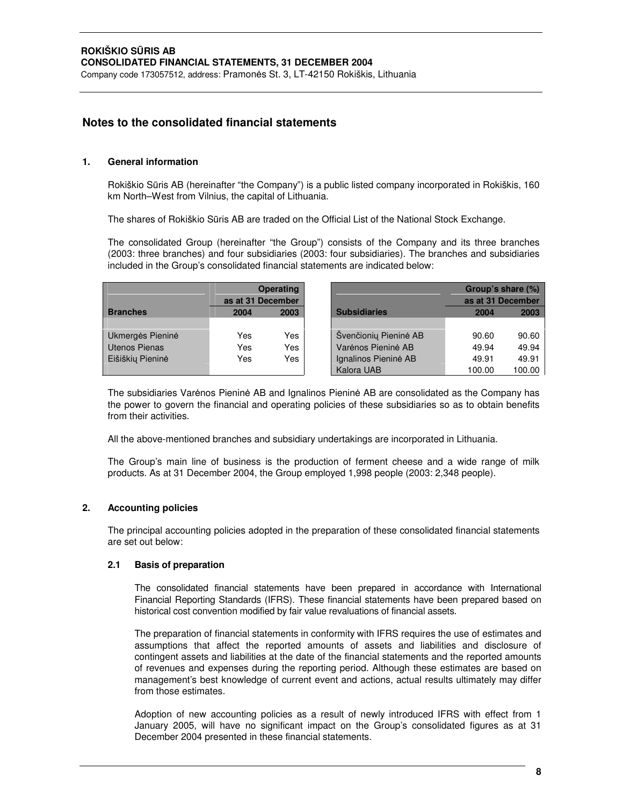# **Notes to the consolidated financial statements**

# **1. General information**

Rokiškio Sūris AB (hereinafter "the Company") is a public listed company incorporated in Rokiškis, 160 km North–West from Vilnius, the capital of Lithuania.

The shares of Rokiškio Sūris AB are traded on the Official List of the National Stock Exchange.

The consolidated Group (hereinafter "the Group") consists of the Company and its three branches (2003: three branches) and four subsidiaries (2003: four subsidiaries). The branches and subsidiaries included in the Group's consolidated financial statements are indicated below:

|                  | as at 31 December | <b>Operating</b> |                       | Group's share (%)<br>as at 31 December |        |
|------------------|-------------------|------------------|-----------------------|----------------------------------------|--------|
| <b>Branches</b>  | 2004              | 2003             | <b>Subsidiaries</b>   | 2004                                   | 2003   |
|                  |                   |                  |                       |                                        |        |
| Ukmerges Pienine | Yes               | Yes              | Švenčioniu Pieninė AB | 90.60                                  | 90.60  |
| Utenos Pienas    | Yes               | Yes              | Varenos Pieninė AB    | 49.94                                  | 49.94  |
| Eišiškių Pieninė | Yes               | Yes              | Ignalinos Pieninė AB  | 49.91                                  | 49.91  |
|                  |                   |                  | Kalora UAB            | 100.00                                 | 100.00 |

The subsidiaries Varenos Pienine AB and Ignalinos Pienine AB are consolidated as the Company has the power to govern the financial and operating policies of these subsidiaries so as to obtain benefits from their activities.

All the above-mentioned branches and subsidiary undertakings are incorporated in Lithuania.

The Group's main line of business is the production of ferment cheese and a wide range of milk products. As at 31 December 2004, the Group employed 1,998 people (2003: 2,348 people).

# **2. Accounting policies**

The principal accounting policies adopted in the preparation of these consolidated financial statements are set out below:

# **2.1 Basis of preparation**

The consolidated financial statements have been prepared in accordance with International Financial Reporting Standards (IFRS). These financial statements have been prepared based on historical cost convention modified by fair value revaluations of financial assets.

The preparation of financial statements in conformity with IFRS requires the use of estimates and assumptions that affect the reported amounts of assets and liabilities and disclosure of contingent assets and liabilities at the date of the financial statements and the reported amounts of revenues and expenses during the reporting period. Although these estimates are based on management's best knowledge of current event and actions, actual results ultimately may differ from those estimates.

Adoption of new accounting policies as a result of newly introduced IFRS with effect from 1 January 2005, will have no significant impact on the Group's consolidated figures as at 31 December 2004 presented in these financial statements.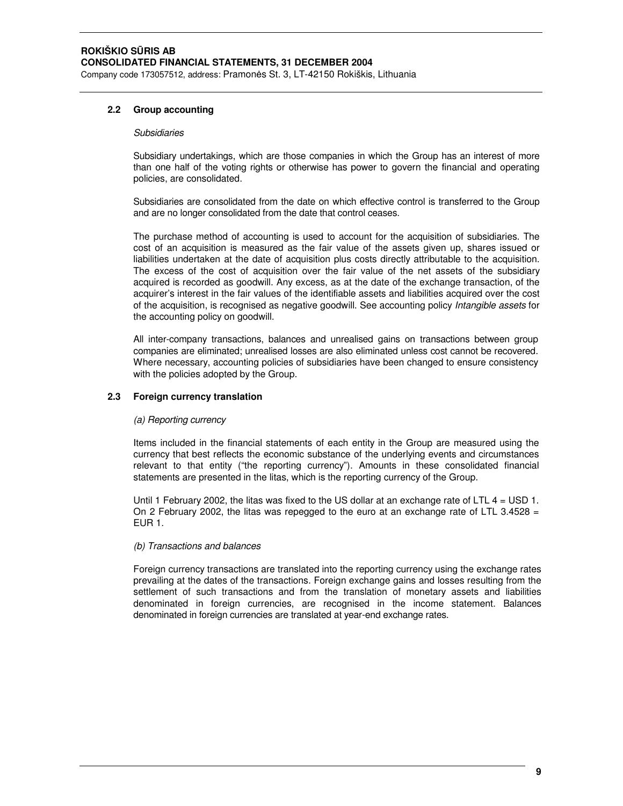# **2.2 Group accounting**

#### *Subsidiaries*

Subsidiary undertakings, which are those companies in which the Group has an interest of more than one half of the voting rights or otherwise has power to govern the financial and operating policies, are consolidated.

Subsidiaries are consolidated from the date on which effective control is transferred to the Group and are no longer consolidated from the date that control ceases.

The purchase method of accounting is used to account for the acquisition of subsidiaries. The cost of an acquisition is measured as the fair value of the assets given up, shares issued or liabilities undertaken at the date of acquisition plus costs directly attributable to the acquisition. The excess of the cost of acquisition over the fair value of the net assets of the subsidiary acquired is recorded as goodwill. Any excess, as at the date of the exchange transaction, of the acquirer's interest in the fair values of the identifiable assets and liabilities acquired over the cost of the acquisition, is recognised as negative goodwill. See accounting policy *Intangible assets* for the accounting policy on goodwill.

All inter-company transactions, balances and unrealised gains on transactions between group companies are eliminated; unrealised losses are also eliminated unless cost cannot be recovered. Where necessary, accounting policies of subsidiaries have been changed to ensure consistency with the policies adopted by the Group.

# **2.3 Foreign currency translation**

# *(a) Reporting currency*

Items included in the financial statements of each entity in the Group are measured using the currency that best reflects the economic substance of the underlying events and circumstances relevant to that entity ("the reporting currency"). Amounts in these consolidated financial statements are presented in the litas, which is the reporting currency of the Group.

Until 1 February 2002, the litas was fixed to the US dollar at an exchange rate of LTL  $4 =$  USD 1. On 2 February 2002, the litas was repegged to the euro at an exchange rate of LTL 3.4528 = EUR 1.

# *(b) Transactions and balances*

Foreign currency transactions are translated into the reporting currency using the exchange rates prevailing at the dates of the transactions. Foreign exchange gains and losses resulting from the settlement of such transactions and from the translation of monetary assets and liabilities denominated in foreign currencies, are recognised in the income statement. Balances denominated in foreign currencies are translated at year-end exchange rates.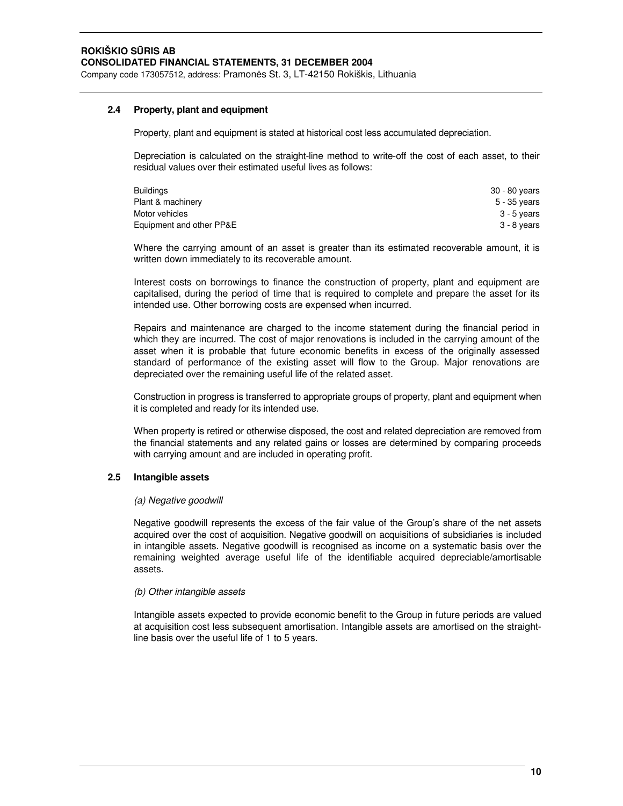# **2.4 Property, plant and equipment**

Property, plant and equipment is stated at historical cost less accumulated depreciation.

Depreciation is calculated on the straight-line method to write-off the cost of each asset, to their residual values over their estimated useful lives as follows:

| <b>Buildings</b>         | 30 - 80 vears |
|--------------------------|---------------|
| Plant & machinery        | 5 - 35 vears  |
| Motor vehicles           | 3 - 5 years   |
| Equipment and other PP&E | 3 - 8 years   |

Where the carrying amount of an asset is greater than its estimated recoverable amount, it is written down immediately to its recoverable amount.

Interest costs on borrowings to finance the construction of property, plant and equipment are capitalised, during the period of time that is required to complete and prepare the asset for its intended use. Other borrowing costs are expensed when incurred.

Repairs and maintenance are charged to the income statement during the financial period in which they are incurred. The cost of major renovations is included in the carrying amount of the asset when it is probable that future economic benefits in excess of the originally assessed standard of performance of the existing asset will flow to the Group. Major renovations are depreciated over the remaining useful life of the related asset.

Construction in progress is transferred to appropriate groups of property, plant and equipment when it is completed and ready for its intended use.

When property is retired or otherwise disposed, the cost and related depreciation are removed from the financial statements and any related gains or losses are determined by comparing proceeds with carrying amount and are included in operating profit.

# **2.5 Intangible assets**

#### *(a) Negative goodwill*

Negative goodwill represents the excess of the fair value of the Group's share of the net assets acquired over the cost of acquisition. Negative goodwill on acquisitions of subsidiaries is included in intangible assets. Negative goodwill is recognised as income on a systematic basis over the remaining weighted average useful life of the identifiable acquired depreciable/amortisable assets.

#### *(b) Other intangible assets*

Intangible assets expected to provide economic benefit to the Group in future periods are valued at acquisition cost less subsequent amortisation. Intangible assets are amortised on the straightline basis over the useful life of 1 to 5 years.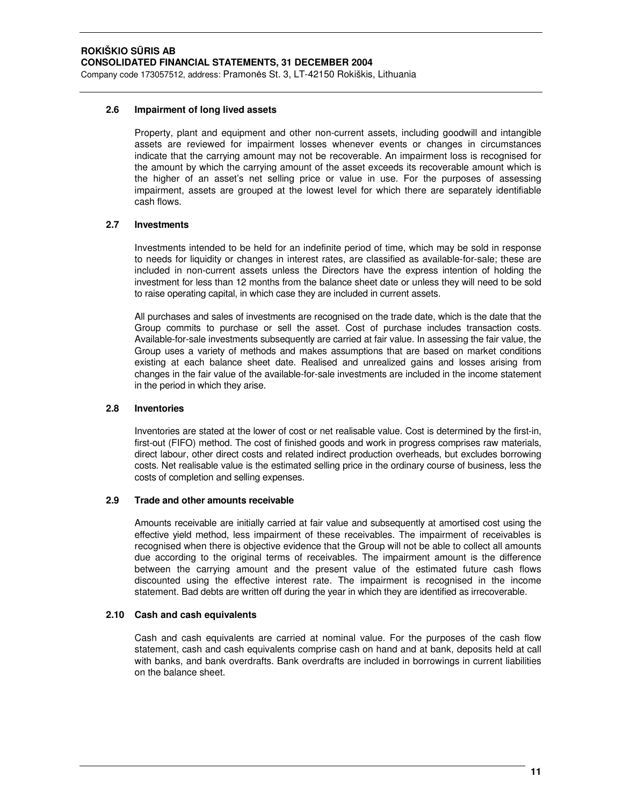# **2.6 Impairment of long lived assets**

Property, plant and equipment and other non-current assets, including goodwill and intangible assets are reviewed for impairment losses whenever events or changes in circumstances indicate that the carrying amount may not be recoverable. An impairment loss is recognised for the amount by which the carrying amount of the asset exceeds its recoverable amount which is the higher of an asset's net selling price or value in use. For the purposes of assessing impairment, assets are grouped at the lowest level for which there are separately identifiable cash flows.

# **2.7 Investments**

Investments intended to be held for an indefinite period of time, which may be sold in response to needs for liquidity or changes in interest rates, are classified as available-for-sale; these are included in non-current assets unless the Directors have the express intention of holding the investment for less than 12 months from the balance sheet date or unless they will need to be sold to raise operating capital, in which case they are included in current assets.

All purchases and sales of investments are recognised on the trade date, which is the date that the Group commits to purchase or sell the asset. Cost of purchase includes transaction costs. Available-for-sale investments subsequently are carried at fair value. In assessing the fair value, the Group uses a variety of methods and makes assumptions that are based on market conditions existing at each balance sheet date. Realised and unrealized gains and losses arising from changes in the fair value of the available-for-sale investments are included in the income statement in the period in which they arise.

# **2.8 Inventories**

Inventories are stated at the lower of cost or net realisable value. Cost is determined by the first-in, first-out (FIFO) method. The cost of finished goods and work in progress comprises raw materials, direct labour, other direct costs and related indirect production overheads, but excludes borrowing costs. Net realisable value is the estimated selling price in the ordinary course of business, less the costs of completion and selling expenses.

# **2.9 Trade and other amounts receivable**

Amounts receivable are initially carried at fair value and subsequently at amortised cost using the effective yield method, less impairment of these receivables. The impairment of receivables is recognised when there is objective evidence that the Group will not be able to collect all amounts due according to the original terms of receivables. The impairment amount is the difference between the carrying amount and the present value of the estimated future cash flows discounted using the effective interest rate. The impairment is recognised in the income statement. Bad debts are written off during the year in which they are identified as irrecoverable.

# **2.10 Cash and cash equivalents**

Cash and cash equivalents are carried at nominal value. For the purposes of the cash flow statement, cash and cash equivalents comprise cash on hand and at bank, deposits held at call with banks, and bank overdrafts. Bank overdrafts are included in borrowings in current liabilities on the balance sheet.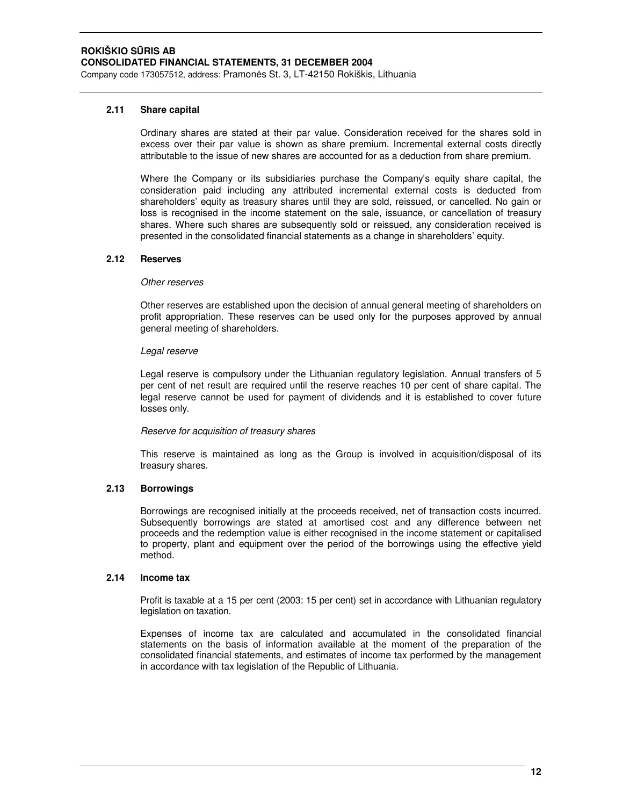# **2.11 Share capital**

Ordinary shares are stated at their par value. Consideration received for the shares sold in excess over their par value is shown as share premium. Incremental external costs directly attributable to the issue of new shares are accounted for as a deduction from share premium.

Where the Company or its subsidiaries purchase the Company's equity share capital, the consideration paid including any attributed incremental external costs is deducted from shareholders' equity as treasury shares until they are sold, reissued, or cancelled. No gain or loss is recognised in the income statement on the sale, issuance, or cancellation of treasury shares. Where such shares are subsequently sold or reissued, any consideration received is presented in the consolidated financial statements as a change in shareholders' equity.

# **2.12 Reserves**

# *Other reserves*

Other reserves are established upon the decision of annual general meeting of shareholders on profit appropriation. These reserves can be used only for the purposes approved by annual general meeting of shareholders.

# *Legal reserve*

Legal reserve is compulsory under the Lithuanian regulatory legislation. Annual transfers of 5 per cent of net result are required until the reserve reaches 10 per cent of share capital. The legal reserve cannot be used for payment of dividends and it is established to cover future losses only.

# *Reserve for acquisition of treasury shares*

This reserve is maintained as long as the Group is involved in acquisition/disposal of its treasury shares.

# **2.13 Borrowings**

Borrowings are recognised initially at the proceeds received, net of transaction costs incurred. Subsequently borrowings are stated at amortised cost and any difference between net proceeds and the redemption value is either recognised in the income statement or capitalised to property, plant and equipment over the period of the borrowings using the effective yield method.

# **2.14 Income tax**

Profit is taxable at a 15 per cent (2003: 15 per cent) set in accordance with Lithuanian regulatory legislation on taxation.

Expenses of income tax are calculated and accumulated in the consolidated financial statements on the basis of information available at the moment of the preparation of the consolidated financial statements, and estimates of income tax performed by the management in accordance with tax legislation of the Republic of Lithuania.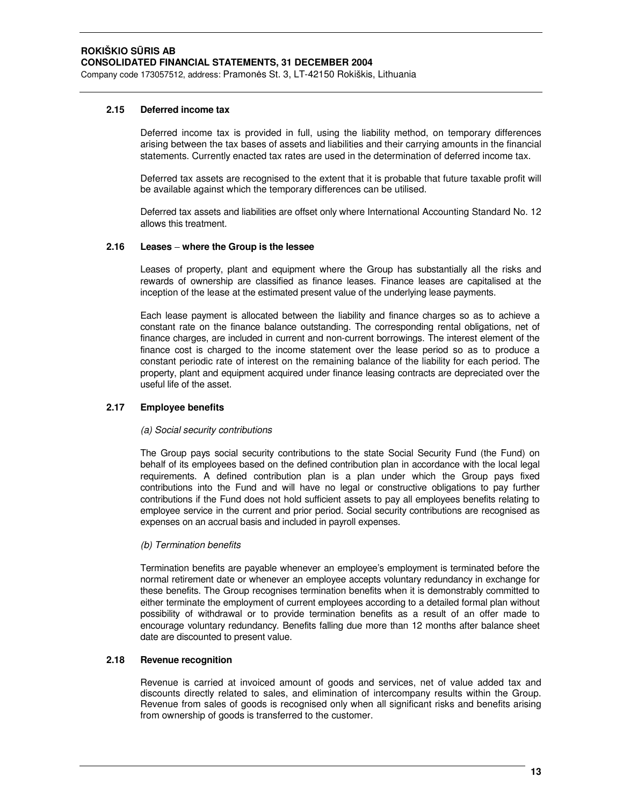# **2.15 Deferred income tax**

Deferred income tax is provided in full, using the liability method, on temporary differences arising between the tax bases of assets and liabilities and their carrying amounts in the financial statements. Currently enacted tax rates are used in the determination of deferred income tax.

Deferred tax assets are recognised to the extent that it is probable that future taxable profit will be available against which the temporary differences can be utilised.

Deferred tax assets and liabilities are offset only where International Accounting Standard No. 12 allows this treatment.

# **2.16 Leases where the Group is the lessee**

Leases of property, plant and equipment where the Group has substantially all the risks and rewards of ownership are classified as finance leases. Finance leases are capitalised at the inception of the lease at the estimated present value of the underlying lease payments.

Each lease payment is allocated between the liability and finance charges so as to achieve a constant rate on the finance balance outstanding. The corresponding rental obligations, net of finance charges, are included in current and non-current borrowings. The interest element of the finance cost is charged to the income statement over the lease period so as to produce a constant periodic rate of interest on the remaining balance of the liability for each period. The property, plant and equipment acquired under finance leasing contracts are depreciated over the useful life of the asset.

# **2.17 Employee benefits**

#### *(a) Social security contributions*

The Group pays social security contributions to the state Social Security Fund (the Fund) on behalf of its employees based on the defined contribution plan in accordance with the local legal requirements. A defined contribution plan is a plan under which the Group pays fixed contributions into the Fund and will have no legal or constructive obligations to pay further contributions if the Fund does not hold sufficient assets to pay all employees benefits relating to employee service in the current and prior period. Social security contributions are recognised as expenses on an accrual basis and included in payroll expenses.

# *(b) Termination benefits*

Termination benefits are payable whenever an employee's employment is terminated before the normal retirement date or whenever an employee accepts voluntary redundancy in exchange for these benefits. The Group recognises termination benefits when it is demonstrably committed to either terminate the employment of current employees according to a detailed formal plan without possibility of withdrawal or to provide termination benefits as a result of an offer made to encourage voluntary redundancy. Benefits falling due more than 12 months after balance sheet date are discounted to present value.

# **2.18 Revenue recognition**

Revenue is carried at invoiced amount of goods and services, net of value added tax and discounts directly related to sales, and elimination of intercompany results within the Group. Revenue from sales of goods is recognised only when all significant risks and benefits arising from ownership of goods is transferred to the customer.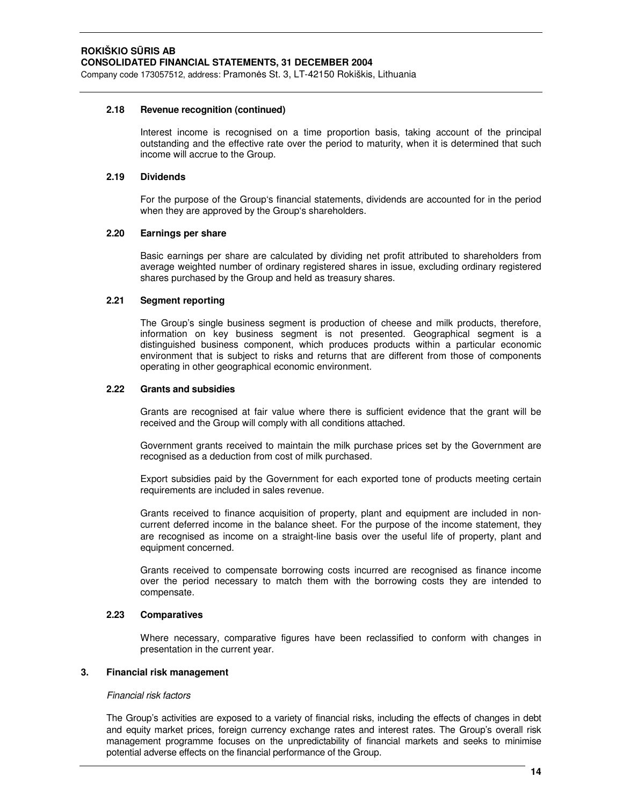Company code 173057512, address: Pramonės St. 3, LT-42150 Rokiškis, Lithuania

# **2.18 Revenue recognition (continued)**

Interest income is recognised on a time proportion basis, taking account of the principal outstanding and the effective rate over the period to maturity, when it is determined that such income will accrue to the Group.

# **2.19 Dividends**

For the purpose of the Group's financial statements, dividends are accounted for in the period when they are approved by the Group's shareholders.

# **2.20 Earnings per share**

Basic earnings per share are calculated by dividing net profit attributed to shareholders from average weighted number of ordinary registered shares in issue, excluding ordinary registered shares purchased by the Group and held as treasury shares.

# **2.21 Segment reporting**

The Group's single business segment is production of cheese and milk products, therefore, information on key business segment is not presented. Geographical segment is a distinguished business component, which produces products within a particular economic environment that is subject to risks and returns that are different from those of components operating in other geographical economic environment.

#### **2.22 Grants and subsidies**

Grants are recognised at fair value where there is sufficient evidence that the grant will be received and the Group will comply with all conditions attached.

Government grants received to maintain the milk purchase prices set by the Government are recognised as a deduction from cost of milk purchased.

Export subsidies paid by the Government for each exported tone of products meeting certain requirements are included in sales revenue.

Grants received to finance acquisition of property, plant and equipment are included in noncurrent deferred income in the balance sheet. For the purpose of the income statement, they are recognised as income on a straight-line basis over the useful life of property, plant and equipment concerned.

Grants received to compensate borrowing costs incurred are recognised as finance income over the period necessary to match them with the borrowing costs they are intended to compensate.

# **2.23 Comparatives**

Where necessary, comparative figures have been reclassified to conform with changes in presentation in the current year.

#### **3. Financial risk management**

#### *Financial risk factors*

The Group's activities are exposed to a variety of financial risks, including the effects of changes in debt and equity market prices, foreign currency exchange rates and interest rates. The Group's overall risk management programme focuses on the unpredictability of financial markets and seeks to minimise potential adverse effects on the financial performance of the Group.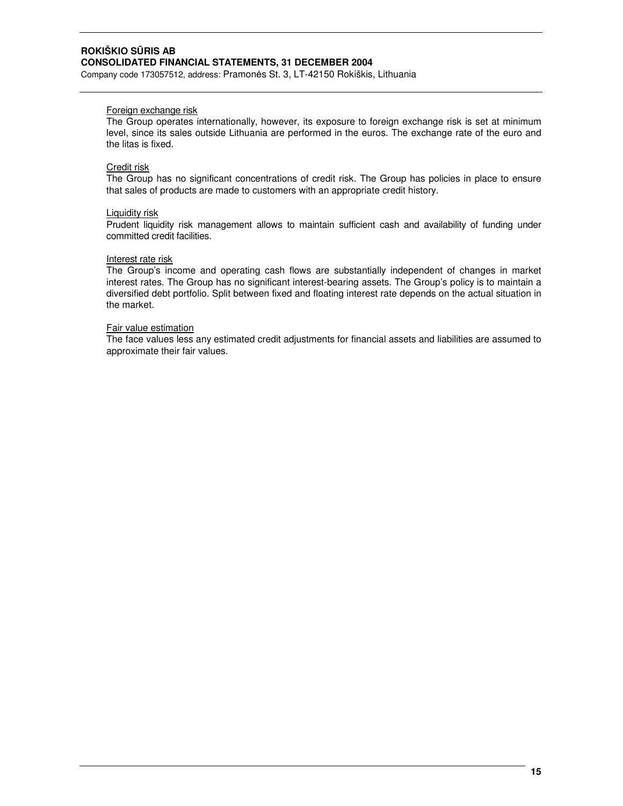Company code 173057512, address: Pramonės St. 3, LT-42150 Rokiškis, Lithuania

# Foreign exchange risk

The Group operates internationally, however, its exposure to foreign exchange risk is set at minimum level, since its sales outside Lithuania are performed in the euros. The exchange rate of the euro and the litas is fixed.

# Credit risk

The Group has no significant concentrations of credit risk. The Group has policies in place to ensure that sales of products are made to customers with an appropriate credit history.

# Liquidity risk

Prudent liquidity risk management allows to maintain sufficient cash and availability of funding under committed credit facilities.

# Interest rate risk

The Group's income and operating cash flows are substantially independent of changes in market interest rates. The Group has no significant interest-bearing assets. The Group's policy is to maintain a diversified debt portfolio. Split between fixed and floating interest rate depends on the actual situation in the market.

# Fair value estimation

The face values less any estimated credit adjustments for financial assets and liabilities are assumed to approximate their fair values.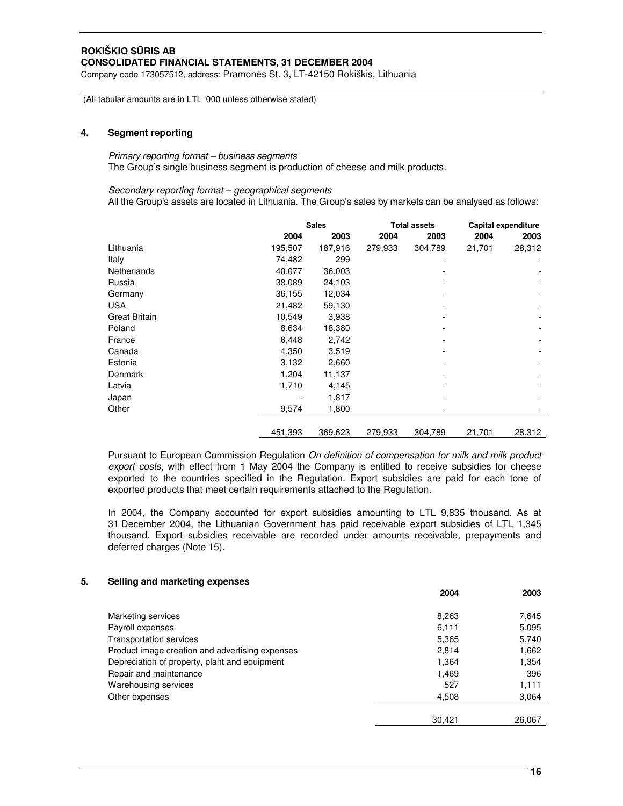Company code 173057512, address: Pramonės St. 3, LT-42150 Rokiškis, Lithuania

(All tabular amounts are in LTL '000 unless otherwise stated)

# **4. Segment reporting**

# *Primary reporting format – business segments* The Group's single business segment is production of cheese and milk products.

#### *Secondary reporting format – geographical segments*

All the Group's assets are located in Lithuania. The Group's sales by markets can be analysed as follows:

|                      |         | <b>Sales</b><br><b>Total assets</b> |         |         |        |        |  | Capital expenditure |
|----------------------|---------|-------------------------------------|---------|---------|--------|--------|--|---------------------|
|                      | 2004    | 2003                                | 2004    | 2003    | 2004   | 2003   |  |                     |
| Lithuania            | 195,507 | 187,916                             | 279,933 | 304,789 | 21,701 | 28,312 |  |                     |
| Italy                | 74,482  | 299                                 |         | -       |        |        |  |                     |
| Netherlands          | 40,077  | 36,003                              |         |         |        |        |  |                     |
| Russia               | 38,089  | 24,103                              |         |         |        |        |  |                     |
| Germany              | 36.155  | 12,034                              |         |         |        |        |  |                     |
| <b>USA</b>           | 21,482  | 59,130                              |         |         |        |        |  |                     |
| <b>Great Britain</b> | 10,549  | 3,938                               |         |         |        |        |  |                     |
| Poland               | 8,634   | 18,380                              |         |         |        |        |  |                     |
| France               | 6,448   | 2,742                               |         |         |        |        |  |                     |
| Canada               | 4,350   | 3,519                               |         |         |        |        |  |                     |
| Estonia              | 3,132   | 2,660                               |         |         |        |        |  |                     |
| Denmark              | 1,204   | 11,137                              |         |         |        |        |  |                     |
| Latvia               | 1,710   | 4,145                               |         |         |        |        |  |                     |
| Japan                |         | 1,817                               |         |         |        |        |  |                     |
| Other                | 9,574   | 1,800                               |         |         |        |        |  |                     |
|                      | 451,393 | 369,623                             | 279,933 | 304,789 | 21,701 | 28,312 |  |                     |

Pursuant to European Commission Regulation *On definition of compensation for milk and milk product export costs*, with effect from 1 May 2004 the Company is entitled to receive subsidies for cheese exported to the countries specified in the Regulation. Export subsidies are paid for each tone of exported products that meet certain requirements attached to the Regulation.

In 2004, the Company accounted for export subsidies amounting to LTL 9,835 thousand. As at 31 December 2004, the Lithuanian Government has paid receivable export subsidies of LTL 1,345 thousand. Export subsidies receivable are recorded under amounts receivable, prepayments and deferred charges (Note 15).

#### **5. Selling and marketing expenses**

|                                                 | 2004   | 2003   |
|-------------------------------------------------|--------|--------|
| Marketing services                              | 8,263  | 7,645  |
| Payroll expenses                                | 6,111  | 5,095  |
| <b>Transportation services</b>                  | 5,365  | 5,740  |
| Product image creation and advertising expenses | 2,814  | 1,662  |
| Depreciation of property, plant and equipment   | 1,364  | 1,354  |
| Repair and maintenance                          | 1,469  | 396    |
| Warehousing services                            | 527    | 1,111  |
| Other expenses                                  | 4,508  | 3,064  |
|                                                 |        |        |
|                                                 | 30,421 | 26,067 |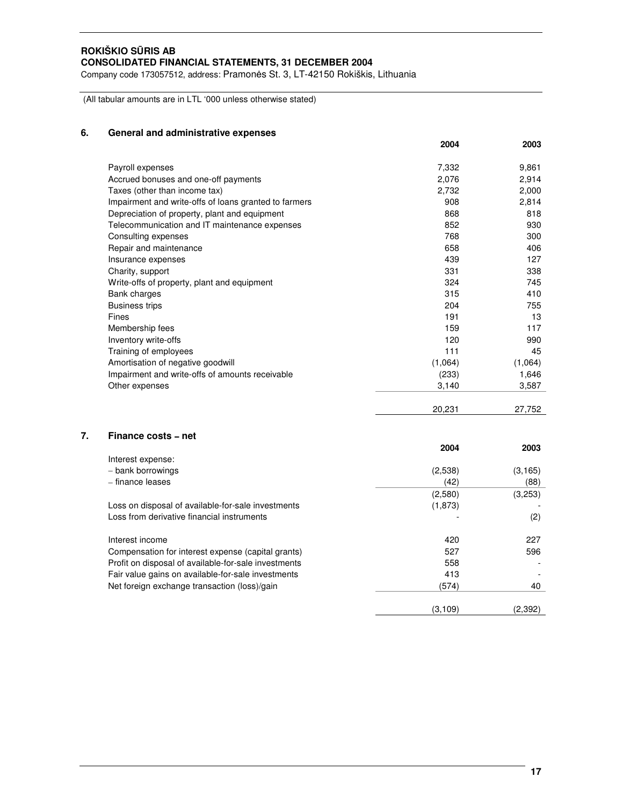Company code 173057512, address: Pramonės St. 3, LT-42150 Rokiškis, Lithuania

(All tabular amounts are in LTL '000 unless otherwise stated)

# **6. General and administrative expenses**

|                                                       | 2004    | 2003    |
|-------------------------------------------------------|---------|---------|
| Payroll expenses                                      | 7,332   | 9,861   |
| Accrued bonuses and one-off payments                  | 2,076   | 2,914   |
| Taxes (other than income tax)                         | 2,732   | 2,000   |
| Impairment and write-offs of loans granted to farmers | 908     | 2,814   |
| Depreciation of property, plant and equipment         | 868     | 818     |
| Telecommunication and IT maintenance expenses         | 852     | 930     |
| Consulting expenses                                   | 768     | 300     |
| Repair and maintenance                                | 658     | 406     |
| Insurance expenses                                    | 439     | 127     |
| Charity, support                                      | 331     | 338     |
| Write-offs of property, plant and equipment           | 324     | 745     |
| Bank charges                                          | 315     | 410     |
| <b>Business trips</b>                                 | 204     | 755     |
| Fines                                                 | 191     | 13      |
| Membership fees                                       | 159     | 117     |
| Inventory write-offs                                  | 120     | 990     |
| Training of employees                                 | 111     | 45      |
| Amortisation of negative goodwill                     | (1,064) | (1,064) |
| Impairment and write-offs of amounts receivable       | (233)   | 1,646   |
| Other expenses                                        | 3,140   | 3,587   |

|                                        | 20,231  | 27,752   |
|----------------------------------------|---------|----------|
| Finance costs - net                    |         |          |
|                                        | 2004    | 2003     |
| Interest expense:<br>- bank borrowings | (2,538) | (3, 165) |

| $-$ Dalin Dollowings                                 | (د.טסט) | וט, וטטו |
|------------------------------------------------------|---------|----------|
| - finance leases                                     | (42)    | (88)     |
|                                                      | (2,580) | (3,253)  |
| Loss on disposal of available-for-sale investments   | (1,873) |          |
| Loss from derivative financial instruments           |         | (2)      |
| Interest income                                      | 420     | 227      |
| Compensation for interest expense (capital grants)   | 527     | 596      |
| Profit on disposal of available-for-sale investments | 558     |          |
| Fair value gains on available-for-sale investments   | 413     |          |

Net foreign exchange transaction (loss)/gain (574) (574) (574)

(3,109) (2,392)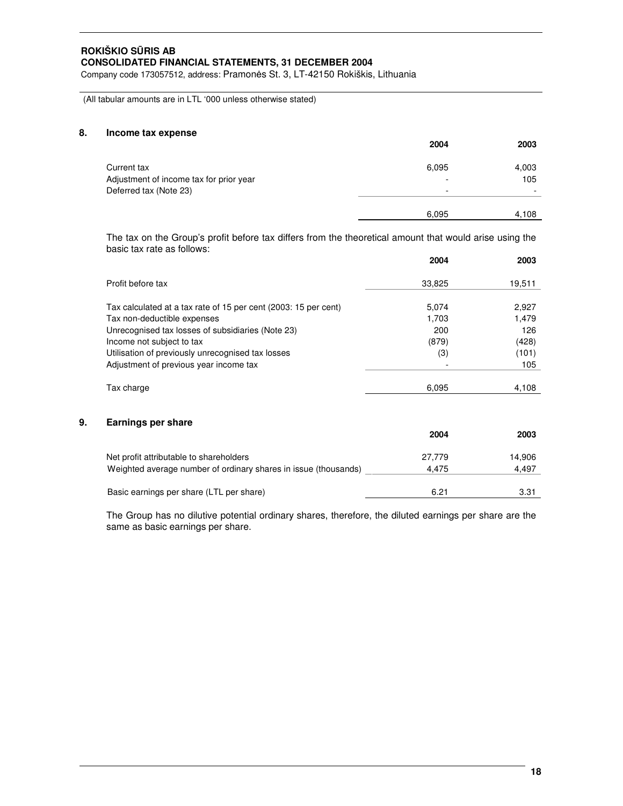Company code 173057512, address: Pramonės St. 3, LT-42150 Rokiškis, Lithuania

(All tabular amounts are in LTL '000 unless otherwise stated)

# **8. Income tax expense**

|                                                                                  | 2004                                   | 2003                                     |
|----------------------------------------------------------------------------------|----------------------------------------|------------------------------------------|
| Current tax<br>Adjustment of income tax for prior year<br>Deferred tax (Note 23) | 6,095<br>$\overline{\phantom{0}}$<br>- | 4,003<br>105<br>$\overline{\phantom{0}}$ |
|                                                                                  | 6,095                                  | 4,108                                    |

The tax on the Group's profit before tax differs from the theoretical amount that would arise using the basic tax rate as follows:

|    |                                                                 | 2004   | 2003   |
|----|-----------------------------------------------------------------|--------|--------|
|    | Profit before tax                                               | 33,825 | 19,511 |
|    |                                                                 |        |        |
|    | Tax calculated at a tax rate of 15 per cent (2003: 15 per cent) | 5,074  | 2,927  |
|    | Tax non-deductible expenses                                     | 1,703  | 1,479  |
|    | Unrecognised tax losses of subsidiaries (Note 23)               | 200    | 126    |
|    | Income not subject to tax                                       | (879)  | (428)  |
|    | Utilisation of previously unrecognised tax losses               | (3)    | (101)  |
|    | Adjustment of previous year income tax                          |        | 105    |
|    | Tax charge                                                      | 6,095  | 4,108  |
|    |                                                                 |        |        |
| 9. | Earnings per share                                              |        |        |
|    |                                                                 | 2004   | 2003   |
|    |                                                                 |        |        |

| Net profit attributable to shareholders                         | 27.779 | 14.906 |
|-----------------------------------------------------------------|--------|--------|
| Weighted average number of ordinary shares in issue (thousands) | 4.475  | 4.497  |
| Basic earnings per share (LTL per share)                        | 6.21   | 3.31   |

The Group has no dilutive potential ordinary shares, therefore, the diluted earnings per share are the same as basic earnings per share.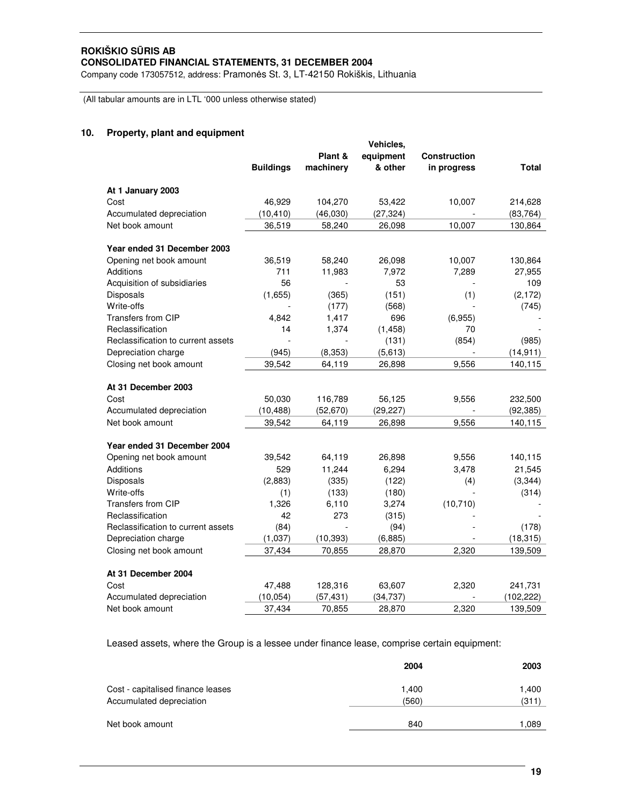Company code 173057512, address: Pramonės St. 3, LT-42150 Rokiškis, Lithuania

(All tabular amounts are in LTL '000 unless otherwise stated)

# **10. Property, plant and equipment**

|                                    |                  |           | <b>Vehicles,</b> |                     |              |
|------------------------------------|------------------|-----------|------------------|---------------------|--------------|
|                                    |                  | Plant &   | equipment        | <b>Construction</b> |              |
|                                    | <b>Buildings</b> | machinery | & other          | in progress         | <b>Total</b> |
| At 1 January 2003                  |                  |           |                  |                     |              |
| Cost                               | 46,929           | 104,270   | 53,422           | 10,007              | 214,628      |
| Accumulated depreciation           | (10, 410)        | (46,030)  | (27, 324)        |                     | (83, 764)    |
| Net book amount                    | 36,519           | 58,240    | 26,098           | 10,007              | 130,864      |
| Year ended 31 December 2003        |                  |           |                  |                     |              |
| Opening net book amount            | 36,519           | 58,240    | 26,098           | 10,007              | 130,864      |
| Additions                          | 711              | 11,983    | 7,972            | 7,289               | 27,955       |
| Acquisition of subsidiaries        | 56               |           | 53               |                     | 109          |
| Disposals                          | (1,655)          | (365)     | (151)            | (1)                 | (2, 172)     |
| Write-offs                         |                  | (177)     | (568)            |                     | (745)        |
| <b>Transfers from CIP</b>          | 4,842            | 1,417     | 696              | (6,955)             |              |
| Reclassification                   | 14               | 1,374     | (1, 458)         | 70                  |              |
| Reclassification to current assets |                  |           | (131)            | (854)               | (985)        |
| Depreciation charge                | (945)            | (8, 353)  | (5,613)          |                     | (14, 911)    |
| Closing net book amount            | 39,542           | 64,119    | 26,898           | 9,556               | 140,115      |
| At 31 December 2003                |                  |           |                  |                     |              |
| Cost                               | 50,030           | 116,789   | 56,125           | 9,556               | 232,500      |
| Accumulated depreciation           | (10, 488)        | (52, 670) | (29, 227)        |                     | (92, 385)    |
| Net book amount                    | 39.542           | 64.119    | 26,898           | 9,556               | 140,115      |
| Year ended 31 December 2004        |                  |           |                  |                     |              |
| Opening net book amount            | 39,542           | 64,119    | 26,898           | 9,556               | 140,115      |
| Additions                          | 529              | 11,244    | 6,294            | 3,478               | 21,545       |
| Disposals                          | (2,883)          | (335)     | (122)            | (4)                 | (3, 344)     |
| Write-offs                         | (1)              | (133)     | (180)            |                     | (314)        |
| <b>Transfers from CIP</b>          | 1,326            | 6,110     | 3,274            | (10, 710)           |              |
| Reclassification                   | 42               | 273       | (315)            |                     |              |
| Reclassification to current assets | (84)             |           | (94)             |                     | (178)        |
| Depreciation charge                | (1,037)          | (10, 393) | (6,885)          |                     | (18, 315)    |
| Closing net book amount            | 37,434           | 70,855    | 28,870           | 2,320               | 139,509      |
| At 31 December 2004                |                  |           |                  |                     |              |
| Cost                               | 47,488           | 128,316   | 63,607           | 2,320               | 241,731      |
| Accumulated depreciation           | (10, 054)        | (57, 431) | (34, 737)        |                     | (102, 222)   |
| Net book amount                    | 37,434           | 70,855    | 28,870           | 2.320               | 139,509      |

Leased assets, where the Group is a lessee under finance lease, comprise certain equipment:

|                                   | 2004  | 2003  |
|-----------------------------------|-------|-------|
| Cost - capitalised finance leases | 1,400 | 1,400 |
| Accumulated depreciation          | (560) | (311) |
| Net book amount                   | 840   | 1,089 |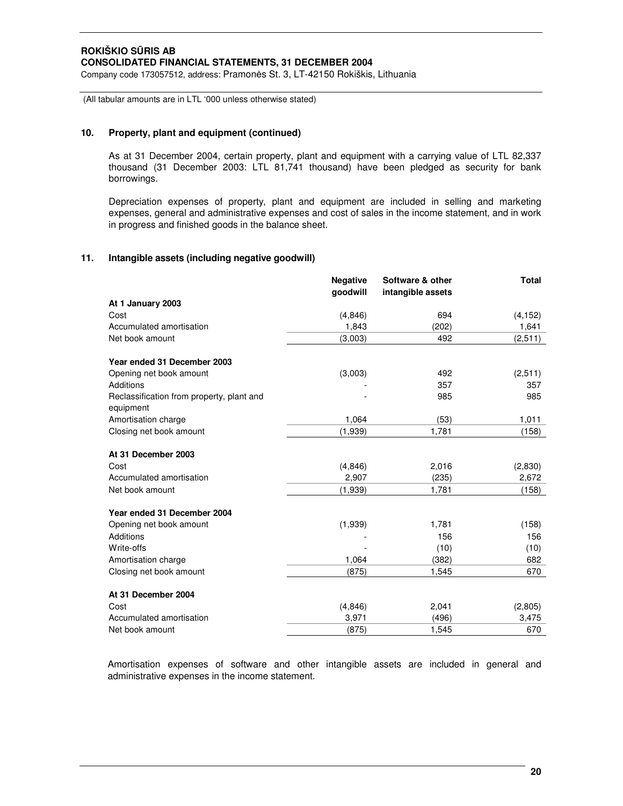(All tabular amounts are in LTL '000 unless otherwise stated)

# **10. Property, plant and equipment (continued)**

As at 31 December 2004, certain property, plant and equipment with a carrying value of LTL 82,337 thousand (31 December 2003: LTL 81,741 thousand) have been pledged as security for bank borrowings.

Depreciation expenses of property, plant and equipment are included in selling and marketing expenses, general and administrative expenses and cost of sales in the income statement, and in work in progress and finished goods in the balance sheet.

# **11. Intangible assets (including negative goodwill)**

|                                                        | <b>Negative</b> | Software & other  | <b>Total</b> |
|--------------------------------------------------------|-----------------|-------------------|--------------|
|                                                        | qoodwill        | intangible assets |              |
| At 1 January 2003                                      |                 |                   |              |
| Cost                                                   | (4,846)         | 694               | (4, 152)     |
| Accumulated amortisation                               | 1,843           | (202)             | 1,641        |
| Net book amount                                        | (3,003)         | 492               | (2,511)      |
| Year ended 31 December 2003                            |                 |                   |              |
| Opening net book amount                                | (3,003)         | 492               | (2,511)      |
| Additions                                              |                 | 357               | 357          |
| Reclassification from property, plant and<br>equipment |                 | 985               | 985          |
| Amortisation charge                                    | 1,064           | (53)              | 1,011        |
| Closing net book amount                                | (1,939)         | 1,781             | (158)        |
| At 31 December 2003                                    |                 |                   |              |
| Cost                                                   | (4, 846)        | 2,016             | (2,830)      |
| Accumulated amortisation                               | 2,907           | (235)             | 2,672        |
| Net book amount                                        | (1,939)         | 1,781             | (158)        |
| Year ended 31 December 2004                            |                 |                   |              |
| Opening net book amount                                | (1,939)         | 1,781             | (158)        |
| Additions                                              |                 | 156               | 156          |
| Write-offs                                             |                 | (10)              | (10)         |
| Amortisation charge                                    | 1,064           | (382)             | 682          |
| Closing net book amount                                | (875)           | 1,545             | 670          |
| At 31 December 2004                                    |                 |                   |              |
| Cost                                                   | (4,846)         | 2,041             | (2,805)      |
| Accumulated amortisation                               | 3,971           | (496)             | 3,475        |
| Net book amount                                        | (875)           | 1,545             | 670          |

Amortisation expenses of software and other intangible assets are included in general and administrative expenses in the income statement.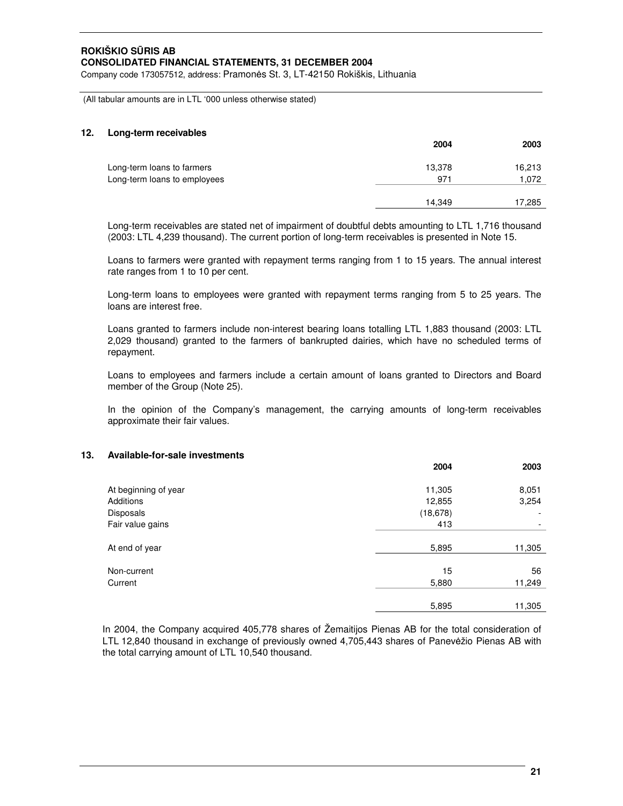Company code 173057512, address: Pramonės St. 3, LT-42150 Rokiškis, Lithuania

(All tabular amounts are in LTL '000 unless otherwise stated)

# **12. Long-term receivables**

|                              | 2004   | 2003   |
|------------------------------|--------|--------|
| Long-term loans to farmers   | 13,378 | 16,213 |
| Long-term loans to employees | 971    | 1,072  |
|                              | 14.349 | 17,285 |
|                              |        |        |

Long-term receivables are stated net of impairment of doubtful debts amounting to LTL 1,716 thousand (2003: LTL 4,239 thousand). The current portion of long-term receivables is presented in Note 15.

Loans to farmers were granted with repayment terms ranging from 1 to 15 years. The annual interest rate ranges from 1 to 10 per cent.

Long-term loans to employees were granted with repayment terms ranging from 5 to 25 years. The loans are interest free.

Loans granted to farmers include non-interest bearing loans totalling LTL 1,883 thousand (2003: LTL 2,029 thousand) granted to the farmers of bankrupted dairies, which have no scheduled terms of repayment.

Loans to employees and farmers include a certain amount of loans granted to Directors and Board member of the Group (Note 25).

In the opinion of the Company's management, the carrying amounts of long-term receivables approximate their fair values.

# **13. Available-for-sale investments**

|                      | 2004      | 2003   |
|----------------------|-----------|--------|
| At beginning of year | 11,305    | 8,051  |
| Additions            | 12,855    | 3,254  |
| Disposals            | (18, 678) | ۰      |
| Fair value gains     | 413       |        |
| At end of year       | 5,895     | 11,305 |
| Non-current          | 15        | 56     |
| Current              | 5,880     | 11,249 |
|                      | 5,895     | 11,305 |

In 2004, the Company acquired 405,778 shares of Žemaitijos Pienas AB for the total consideration of LTL 12,840 thousand in exchange of previously owned 4,705,443 shares of Panevžio Pienas AB with the total carrying amount of LTL 10,540 thousand.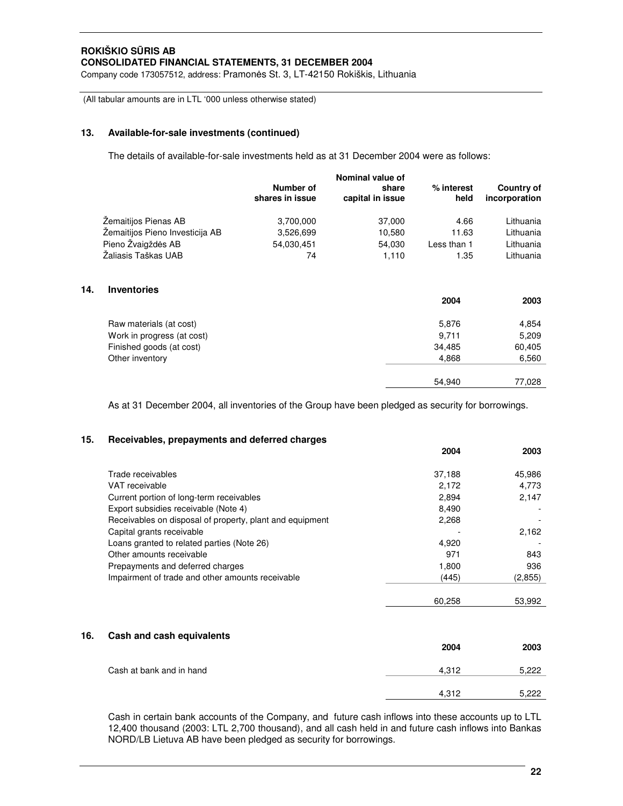Company code 173057512, address: Pramonės St. 3, LT-42150 Rokiškis, Lithuania

(All tabular amounts are in LTL '000 unless otherwise stated)

# **13. Available-for-sale investments (continued)**

**14. Inventories**

The details of available-for-sale investments held as at 31 December 2004 were as follows:

|                                 | Number of<br>shares in issue | Nominal value of<br>share<br>capital in issue | % interest<br>held | <b>Country of</b><br>incorporation |
|---------------------------------|------------------------------|-----------------------------------------------|--------------------|------------------------------------|
| Zemaitijos Pienas AB            | 3,700,000                    | 37,000                                        | 4.66               | Lithuania                          |
| Zemaitijos Pieno Investicija AB | 3,526,699                    | 10,580                                        | 11.63              | Lithuania                          |
| Pieno Žvaigždės AB              | 54,030,451                   | 54,030                                        | Less than 1        | Lithuania                          |
| Žaliasis Taškas UAB             | 74                           | 1,110                                         | 1.35               | Lithuania                          |
| <b>Inventories</b>              |                              |                                               |                    |                                    |
|                                 |                              |                                               | 2004               | 2003                               |
| Raw materials (at cost)         |                              |                                               | 5,876              | 4,854                              |
| Work in progress (at cost)      |                              |                                               | 9,711              | 5,209                              |
| Finished goods (at cost)        |                              |                                               | 34,485             | 60,405                             |
| Other inventory                 |                              |                                               | 4,868              | 6,560                              |
|                                 |                              |                                               | 54,940             | 77,028                             |

As at 31 December 2004, all inventories of the Group have been pledged as security for borrowings.

# **15. Receivables, prepayments and deferred charges**

|                                                          | 2004   | 2003    |
|----------------------------------------------------------|--------|---------|
| Trade receivables                                        | 37,188 | 45,986  |
| VAT receivable                                           | 2.172  | 4.773   |
| Current portion of long-term receivables                 | 2.894  | 2,147   |
| Export subsidies receivable (Note 4)                     | 8.490  |         |
| Receivables on disposal of property, plant and equipment | 2.268  |         |
| Capital grants receivable                                |        | 2.162   |
| Loans granted to related parties (Note 26)               | 4,920  |         |
| Other amounts receivable                                 | 971    | 843     |
| Prepayments and deferred charges                         | 1,800  | 936     |
| Impairment of trade and other amounts receivable         | (445)  | (2,855) |
|                                                          | 60.258 | 53.992  |

# **16. Cash and cash equivalents**

|                          | 2004  | 2003  |
|--------------------------|-------|-------|
| Cash at bank and in hand | 4,312 | 5,222 |
|                          | 4,312 | 5.222 |

Cash in certain bank accounts of the Company, and future cash inflows into these accounts up to LTL 12,400 thousand (2003: LTL 2,700 thousand), and all cash held in and future cash inflows into Bankas NORD/LB Lietuva AB have been pledged as security for borrowings.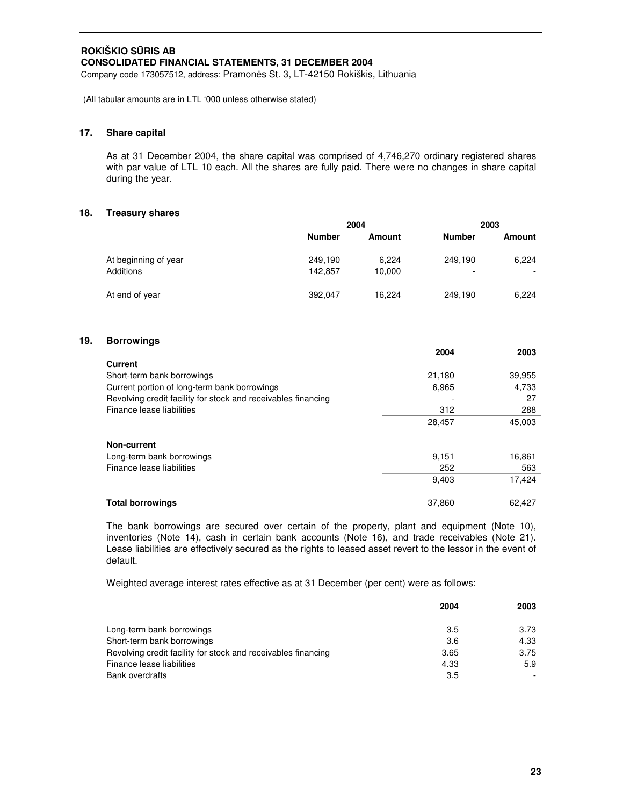Company code 173057512, address: Pramonės St. 3, LT-42150 Rokiškis, Lithuania

(All tabular amounts are in LTL '000 unless otherwise stated)

# **17. Share capital**

As at 31 December 2004, the share capital was comprised of 4,746,270 ordinary registered shares with par value of LTL 10 each. All the shares are fully paid. There were no changes in share capital during the year.

# **18. Treasury shares**

|                      |               | 2004          |               | 2003   |  |
|----------------------|---------------|---------------|---------------|--------|--|
|                      | <b>Number</b> | <b>Amount</b> | <b>Number</b> | Amount |  |
| At beginning of year | 249,190       | 6.224         | 249,190       | 6,224  |  |
| Additions            | 142.857       | 10,000        | -             |        |  |
| At end of year       | 392,047       | 16.224        | 249,190       | 6.224  |  |

# **19. Borrowings**

|                                                               | 2004   | 2003   |
|---------------------------------------------------------------|--------|--------|
| Current                                                       |        |        |
| Short-term bank borrowings                                    | 21,180 | 39,955 |
| Current portion of long-term bank borrowings                  | 6.965  | 4,733  |
| Revolving credit facility for stock and receivables financing |        | 27     |
| Finance lease liabilities                                     | 312    | 288    |
|                                                               | 28,457 | 45,003 |
| Non-current                                                   |        |        |
| Long-term bank borrowings                                     | 9.151  | 16,861 |
| Finance lease liabilities                                     | 252    | 563    |
|                                                               | 9,403  | 17,424 |
| <b>Total borrowings</b>                                       | 37.860 | 62.427 |

The bank borrowings are secured over certain of the property, plant and equipment (Note 10), inventories (Note 14), cash in certain bank accounts (Note 16), and trade receivables (Note 21). Lease liabilities are effectively secured as the rights to leased asset revert to the lessor in the event of default.

Weighted average interest rates effective as at 31 December (per cent) were as follows:

|                                                               | 2004 | 2003 |
|---------------------------------------------------------------|------|------|
| Long-term bank borrowings                                     | 3.5  | 3.73 |
| Short-term bank borrowings                                    | 3.6  | 4.33 |
| Revolving credit facility for stock and receivables financing | 3.65 | 3.75 |
| Finance lease liabilities                                     | 4.33 | 5.9  |
| Bank overdrafts                                               | 3.5  |      |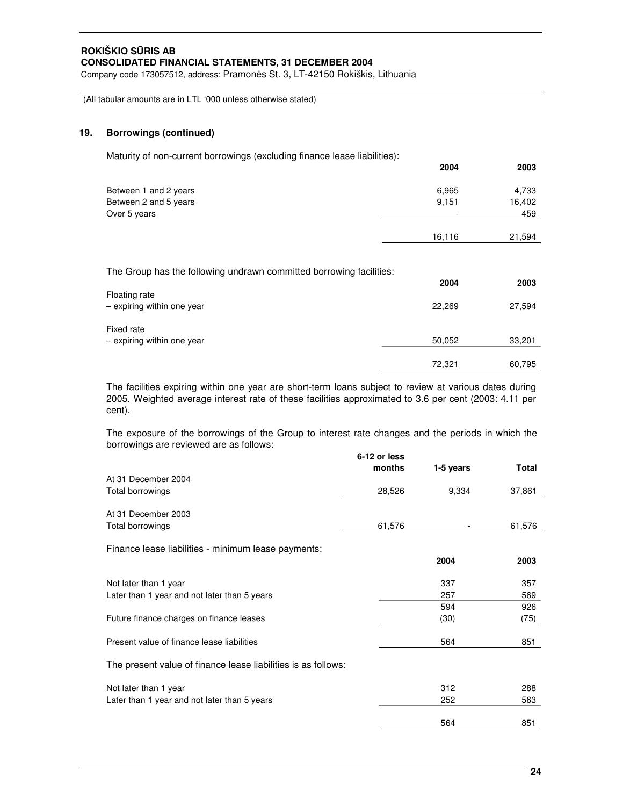Company code 173057512, address: Pramonės St. 3, LT-42150 Rokiškis, Lithuania

(All tabular amounts are in LTL '000 unless otherwise stated)

# **19. Borrowings (continued)**

Maturity of non-current borrowings (excluding finance lease liabilities):

|                       | 2004                     | 2003   |
|-----------------------|--------------------------|--------|
| Between 1 and 2 years | 6,965                    | 4,733  |
| Between 2 and 5 years | 9,151                    | 16,402 |
| Over 5 years          | $\overline{\phantom{a}}$ | 459    |
|                       | 16,116                   | 21,594 |

The Group has the following undrawn committed borrowing facilities:

|                                             | 2004   | 2003   |
|---------------------------------------------|--------|--------|
| Floating rate<br>- expiring within one year | 22,269 | 27,594 |
| Fixed rate<br>- expiring within one year    | 50,052 | 33,201 |
|                                             | 72,321 | 60,795 |

The facilities expiring within one year are short-term loans subject to review at various dates during 2005. Weighted average interest rate of these facilities approximated to 3.6 per cent (2003: 4.11 per cent).

The exposure of the borrowings of the Group to interest rate changes and the periods in which the borrowings are reviewed are as follows:

| 6-12 or less |                                                               |            |
|--------------|---------------------------------------------------------------|------------|
| months       | 1-5 years                                                     | Total      |
|              |                                                               |            |
| 28,526       | 9,334                                                         | 37,861     |
|              |                                                               |            |
| 61,576       |                                                               | 61,576     |
|              |                                                               |            |
|              | 2004                                                          | 2003       |
|              | 337                                                           | 357        |
|              | 257                                                           | 569        |
|              | 594                                                           | 926        |
|              | (30)                                                          | (75)       |
|              |                                                               | 851        |
|              |                                                               |            |
|              |                                                               |            |
|              | 312                                                           | 288        |
|              | 252                                                           | 563        |
|              |                                                               | 851        |
|              | The present value of finance lease liabilities is as follows: | 564<br>564 |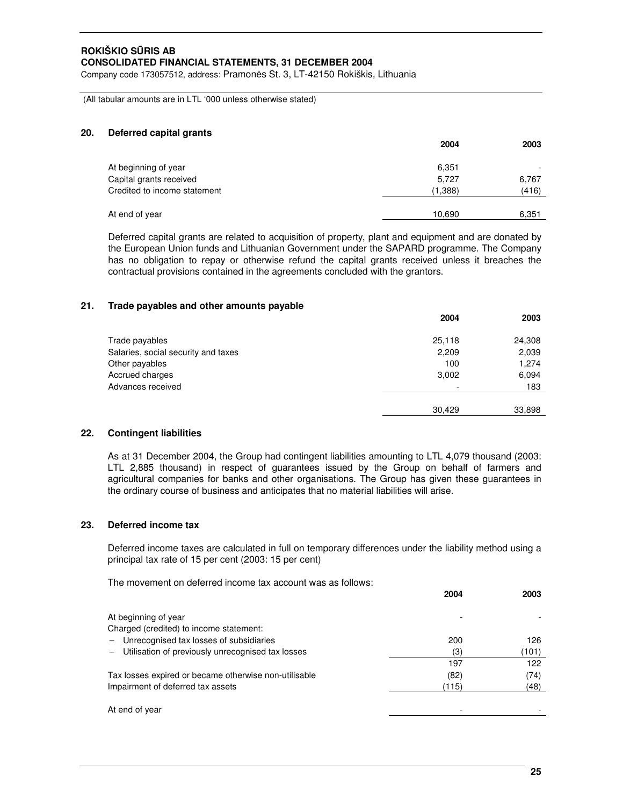Company code 173057512, address: Pramonės St. 3, LT-42150 Rokiškis, Lithuania

(All tabular amounts are in LTL '000 unless otherwise stated)

#### **20. Deferred capital grants**

|                              | 2004    | 2003  |
|------------------------------|---------|-------|
| At beginning of year         | 6,351   |       |
| Capital grants received      | 5,727   | 6,767 |
| Credited to income statement | (1,388) | (416) |
|                              |         |       |
| At end of year               | 10,690  | 6,351 |

Deferred capital grants are related to acquisition of property, plant and equipment and are donated by the European Union funds and Lithuanian Government under the SAPARD programme. The Company has no obligation to repay or otherwise refund the capital grants received unless it breaches the contractual provisions contained in the agreements concluded with the grantors.

#### **21. Trade payables and other amounts payable**

|                                     | 2004   | 2003   |
|-------------------------------------|--------|--------|
| Trade payables                      | 25,118 | 24,308 |
| Salaries, social security and taxes | 2,209  | 2,039  |
| Other payables                      | 100    | 1,274  |
| Accrued charges                     | 3,002  | 6,094  |
| Advances received                   |        | 183    |
|                                     | 30.429 | 33,898 |

# **22. Contingent liabilities**

As at 31 December 2004, the Group had contingent liabilities amounting to LTL 4,079 thousand (2003: LTL 2,885 thousand) in respect of guarantees issued by the Group on behalf of farmers and agricultural companies for banks and other organisations. The Group has given these guarantees in the ordinary course of business and anticipates that no material liabilities will arise.

# **23. Deferred income tax**

Deferred income taxes are calculated in full on temporary differences under the liability method using a principal tax rate of 15 per cent (2003: 15 per cent)

The movement on deferred income tax account was as follows:

|                                                       | 2004  | 2003  |
|-------------------------------------------------------|-------|-------|
| At beginning of year                                  |       |       |
| Charged (credited) to income statement:               |       |       |
| - Unrecognised tax losses of subsidiaries             | 200   | 126   |
| - Utilisation of previously unrecognised tax losses   | (3)   | (101) |
|                                                       | 197   | 122   |
| Tax losses expired or became otherwise non-utilisable | (82)  | (74)  |
| Impairment of deferred tax assets                     | (115) | (48)  |
| At end of year                                        |       |       |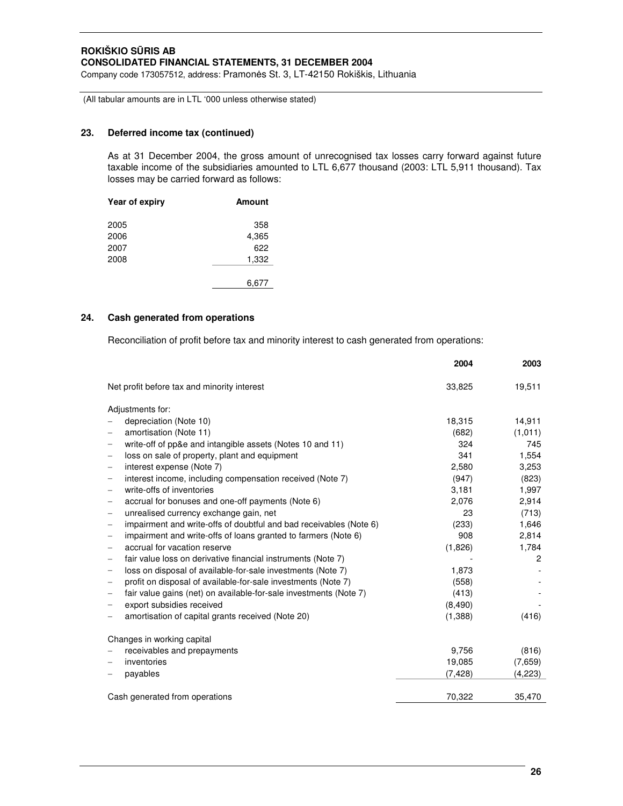Company code 173057512, address: Pramonės St. 3, LT-42150 Rokiškis, Lithuania

(All tabular amounts are in LTL '000 unless otherwise stated)

# **23. Deferred income tax (continued)**

As at 31 December 2004, the gross amount of unrecognised tax losses carry forward against future taxable income of the subsidiaries amounted to LTL 6,677 thousand (2003: LTL 5,911 thousand). Tax losses may be carried forward as follows:

| Year of expiry | <b>Amount</b> |
|----------------|---------------|
| 2005           | 358           |
| 2006           | 4,365         |
| 2007           | 622           |
| 2008           | 1,332         |
|                |               |
|                | 6.677         |

# **24. Cash generated from operations**

Reconciliation of profit before tax and minority interest to cash generated from operations:

|                                                                                                | 2004     | 2003           |
|------------------------------------------------------------------------------------------------|----------|----------------|
| Net profit before tax and minority interest                                                    | 33,825   | 19,511         |
| Adjustments for:                                                                               |          |                |
| depreciation (Note 10)                                                                         | 18,315   | 14,911         |
| amortisation (Note 11)                                                                         | (682)    | (1,011)        |
| write-off of pp&e and intangible assets (Notes 10 and 11)<br>$\qquad \qquad -$                 | 324      | 745            |
| loss on sale of property, plant and equipment                                                  | 341      | 1,554          |
| interest expense (Note 7)<br>$\overline{\phantom{m}}$                                          | 2,580    | 3,253          |
| interest income, including compensation received (Note 7)<br>$\overline{\phantom{m}}$          | (947)    | (823)          |
| write-offs of inventories<br>$\qquad \qquad -$                                                 | 3,181    | 1,997          |
| accrual for bonuses and one-off payments (Note 6)<br>$\overline{\phantom{m}}$                  | 2,076    | 2,914          |
| unrealised currency exchange gain, net<br>$\qquad \qquad -$                                    | 23       | (713)          |
| impairment and write-offs of doubtful and bad receivables (Note 6)<br>$\overline{\phantom{m}}$ | (233)    | 1,646          |
| impairment and write-offs of loans granted to farmers (Note 6)<br>$\overline{\phantom{m}}$     | 908      | 2,814          |
| accrual for vacation reserve                                                                   | (1,826)  | 1,784          |
| fair value loss on derivative financial instruments (Note 7)<br>$\overline{\phantom{m}}$       |          | $\overline{2}$ |
| loss on disposal of available-for-sale investments (Note 7)<br>$\overline{\phantom{m}}$        | 1,873    |                |
| profit on disposal of available-for-sale investments (Note 7)<br>$\overline{\phantom{m}}$      | (558)    |                |
| fair value gains (net) on available-for-sale investments (Note 7)                              | (413)    |                |
| export subsidies received                                                                      | (8,490)  |                |
| amortisation of capital grants received (Note 20)                                              | (1,388)  | (416)          |
| Changes in working capital                                                                     |          |                |
| receivables and prepayments                                                                    | 9,756    | (816)          |
| inventories                                                                                    | 19.085   | (7,659)        |
| payables                                                                                       | (7, 428) | (4,223)        |
|                                                                                                |          |                |
| Cash generated from operations                                                                 | 70,322   | 35,470         |